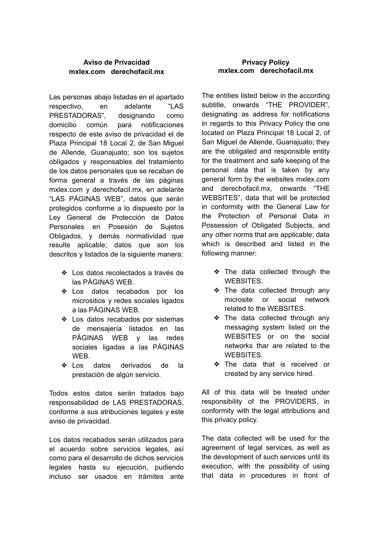## **Aviso de Privacidad mxlex.com derechofacil.mx**

Las personas abajo listadas en el apartado respectivo, en adelante "LAS PRESTADORAS", designando como domicilio común para notificaciones respecto de este aviso de privacidad el de Plaza Principal 18 Local 2, de San Miguel de Allende, Guanajuato; son los sujetos obligados y responsables del tratamiento de los datos personales que se recaban de forma general a través de las páginas mxlex.com y derechofacil.mx, en adelante "LAS PÁGINAS WEB", datos que serán protegidos conforme a lo dispuesto por la Ley General de Protección de Datos Personales en Posesión de Sujetos Obligados, y demás normatividad que resulte aplicable; datos que son los descritos y listados de la siguiente manera:

- ❖ Los datos recolectados a través de las PÁGINAS WEB.
- ❖ Los datos recabados por los micrositios y redes sociales ligados a las PÁGINAS WEB.
- ❖ Los datos recabados por sistemas de mensajería listados en las PÁGINAS WEB y las redes sociales ligadas a las PÁGINAS WEB.
- ❖ Los datos derivados de la prestación de algún servicio.

Todos estos datos serán tratados bajo responsabilidad de LAS PRESTADORAS, conforme a sus atribuciones legales y este aviso de privacidad.

Los datos recabados serán utilizados para el acuerdo sobre servicios legales, así como para el desarrollo de dichos servicios legales hasta su ejecución, pudiendo incluso ser usados en trámites ante

### **Privacy Policy mxlex.com derechofacil.mx**

The entities listed below in the according subtitle, onwards "THE PROVIDER", designating as address for notifications in regards to this Privacy Policy the one located on Plaza Principal 18 Local 2, of San Miguel de Allende, Guanajuato; they are the obligated and responsible entity for the treatment and safe keeping of the personal data that is taken by any general form by the websites mxlex.com and derechofacil.mx, onwards "THE WEBSITES", data that will be protected in conformity with the General Law for the Protection of Personal Data in Possession of Obligated Subjects, and any other norms that are applicable; data which is described and listed in the following manner:

- ❖ The data collected through the WEBSITES.
- ❖ The data collected through any microsite or social network related to the WEBSITES.
- ❖ The data collected through any messaging system listed on the WEBSITES or on the social networks thar are related to the **WEBSITES**
- ❖ The data that is received or created by any service hired.

All of this data will be treated under responsibility of the PROVIDERS, in conformity with the legal attributions and this privacy policy.

The data collected will be used for the agreement of legal services, as well as the development of such services until its execution, with the possibility of using that data in procedures in front of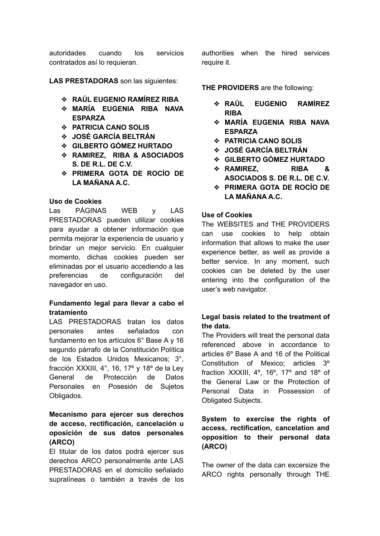autoridades cuando los servicios contratados así lo requieran.

**LAS PRESTADORAS** son las siguientes:

- ❖ **RAÚL EUGENIO RAMÍREZ RIBA**
- ❖ **MARÍA EUGENIA RIBA NAVA ESPARZA**
- ❖ **PATRICIA CANO SOLIS**
- ❖ **JOSÉ GARCÍA BELTRÁN**
- ❖ **GILBERTO GÓMEZ HURTADO**
- ❖ **RAMIREZ, RIBA & ASOCIADOS S. DE R.L. DE C.V.**
- ❖ **PRIMERA GOTA DE ROCÍO DE LA MAÑANA A.C.**

#### **Uso de Cookies**

Las PÁGINAS WEB y LAS PRESTADORAS pueden utilizar cookies para ayudar a obtener información que permita mejorar la experiencia de usuario y brindar un mejor servicio. En cualquier momento, dichas cookies pueden ser eliminadas por el usuario accediendo a las preferencias de configuración del navegador en uso.

### **Fundamento legal para llevar a cabo el tratamiento**

LAS PRESTADORAS tratan los datos personales antes señalados con fundamento en los artículos 6° Base A y 16 segundo párrafo de la Constitución Política de los Estados Unidos Mexicanos; 3°, fracción XXXIII, 4°, 16, 17º y 18º de la Ley General de Protección de Datos Personales en Posesión de Sujetos Obligados.

# **Mecanismo para ejercer sus derechos de acceso, rectificación, cancelación u oposición de sus datos personales (ARCO)**

El titular de los datos podrá ejercer sus derechos ARCO personalmente ante LAS PRESTADORAS en el domicilio señalado supralíneas o también a través de los authorities when the hired services require it.

**THE PROVIDERS** are the following:

- ❖ **RAÚL EUGENIO RAMÍREZ RIBA**
- ❖ **MARÍA EUGENIA RIBA NAVA ESPARZA**
- ❖ **PATRICIA CANO SOLIS**
- ❖ **JOSÉ GARCÍA BELTRÁN**
- ❖ **GILBERTO GÓMEZ HURTADO**
- ❖ **RAMIREZ, RIBA & ASOCIADOS S. DE R.L. DE C.V.**
- ❖ **PRIMERA GOTA DE ROCÍO DE LA MAÑANA A.C.**

### **Use of Cookies**

The WEBSITES and THE PROVIDERS can use cookies to help obtain information that allows to make the user experience better, as well as provide a better service. In any moment, such cookies can be deleted by the user entering into the configuration of the user's web navigator.

## **Legal basis related to the treatment of the data.**

The Providers will treat the personal data referenced above in accordance to articles 6º Base A and 16 of the Political Constitution of Mexico; articles 3º fraction XXXIII, 4º, 16º, 17º and 18º of the General Law or the Protection of Personal Data in Possession of Obligated Subjects.

# **System to exercise the rights of access, rectification, cancelation and opposition to their personal data (ARCO)**

The owner of the data can excersize the ARCO rights personally through THE